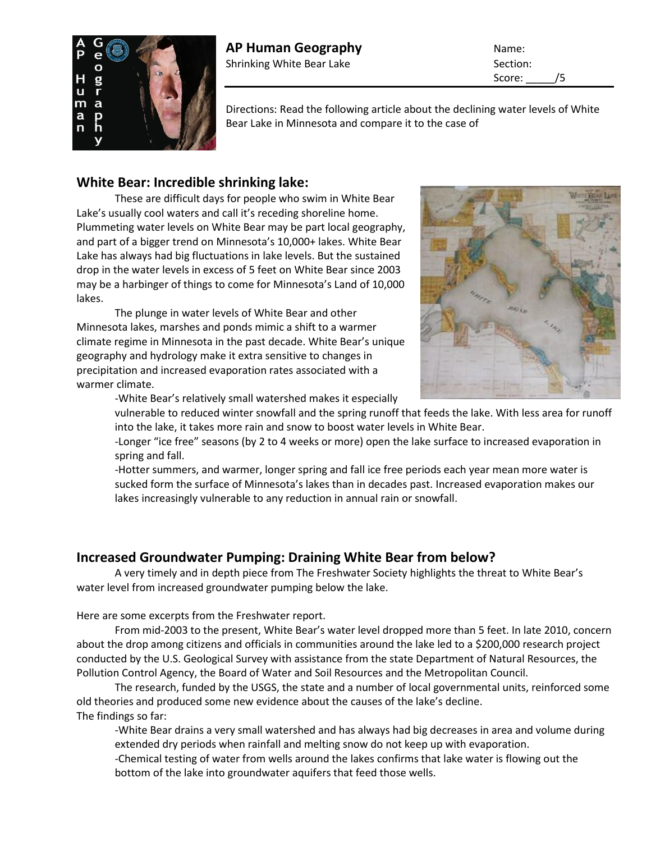

Score: /5

Directions: Read the following article about the declining water levels of White Bear Lake in Minnesota and compare it to the case of

## **White Bear: Incredible shrinking lake:**

These are difficult days for people who swim in White Bear Lake's usually cool waters and call it's receding shoreline home. Plummeting water levels on White Bear may be part local geography, and part of a bigger trend on Minnesota's 10,000+ lakes. White Bear Lake has always had big fluctuations in [lake levels.](http://www.wblcd.org/Recent_White_Bear_Lake_Water_Levels_0812.pdf) But the sustained drop in the water levels in excess of 5 feet on White Bear since 2003 may be a harbinger of things to come for Minnesota's Land of 10,000 lakes.

The plunge in water levels of White Bear and other Minnesota lakes, marshes and ponds mimic a shift to a warmer climate regime in Minnesota in the past decade. White Bear's unique geography and hydrology make it extra sensitive to changes in precipitation and increased evaporation rates associated with a warmer climate.



-White Bear's relatively small watershed makes it especially vulnerable to reduced winter snowfall and the spring runoff that feeds the lake. With less area for runoff into the lake, it takes more rain and snow to boost water levels in White Bear.

-Longer "ice free" seasons (by 2 to 4 weeks or more) open the lake surface to increased evaporation in spring and fall.

-Hotter summers, and warmer, longer spring and fall ice free periods each year mean more water is sucked form the surface of Minnesota's lakes than in decades past. Increased evaporation makes our lakes increasingly vulnerable to any reduction in annual rain or snowfall.

## **Increased Groundwater Pumping: Draining White Bear from below?**

A very timely and in depth [piece from The Freshwater Society](http://www.freshwater.org/images/stories/PDFs/vol361spreads.pdf) highlights the threat to White Bear's water level from increased groundwater pumping below the lake.

Here are some excerpts from the Freshwater report.

From mid-2003 to the present, White Bear's water level dropped more than 5 feet. In late 2010, concern about the drop among citizens and officials in communities around the lake led to a \$200,000 research project conducted by the U.S. Geological Survey with assistance from the state Department of Natural Resources, the Pollution Control Agency, the Board of Water and Soil Resources and the Metropolitan Council.

The research, funded by the USGS, the state and a number of local governmental units, reinforced some old theories and produced some new evidence about the causes of the lake's decline. The findings so far:

-White Bear drains a very small watershed and has always had big decreases in area and volume during extended dry periods when rainfall and melting snow do not keep up with evaporation.

-Chemical testing of water from wells around the lakes confirms that lake water is flowing out the bottom of the lake into groundwater aquifers that feed those wells.